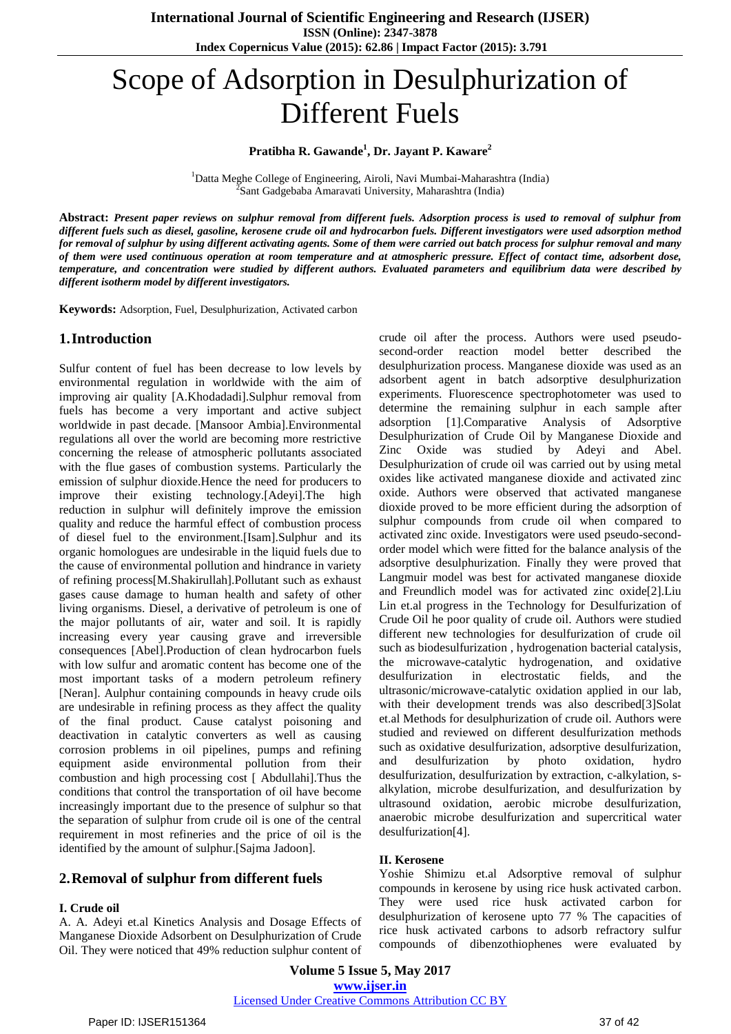# Scope of Adsorption in Desulphurization of Different Fuels

# **Pratibha R. Gawande<sup>1</sup> , Dr. Jayant P. Kaware<sup>2</sup>**

<sup>1</sup>Datta Meghe College of Engineering, Airoli, Navi Mumbai-Maharashtra (India) 2 Sant Gadgebaba Amaravati University, Maharashtra (India)

Abstract: Present paper reviews on sulphur removal from different fuels. Adsorption process is used to removal of sulphur from different fuels such as diesel, gasoline, kerosene crude oil and hydrocarbon fuels. Different investigators were used adsorption method for removal of sulphur by using different activating agents. Some of them were carried out batch process for sulphur removal and many of them were used continuous operation at room temperature and at atmospheric pressure. Effect of contact time, adsorbent dose, temperature, and concentration were studied by different authors. Evaluated parameters and equilibrium data were described by *different isotherm model by different investigators.*

**Keywords:** Adsorption, Fuel, Desulphurization, Activated carbon

#### **1.Introduction**

Sulfur content of fuel has been decrease to low levels by environmental regulation in worldwide with the aim of improving air quality [A.Khodadadi].Sulphur removal from fuels has become a very important and active subject worldwide in past decade. [Mansoor Ambia].Environmental regulations all over the world are becoming more restrictive concerning the release of atmospheric pollutants associated with the flue gases of combustion systems. Particularly the emission of sulphur dioxide.Hence the need for producers to improve their existing technology.[Adeyi].The high reduction in sulphur will definitely improve the emission quality and reduce the harmful effect of combustion process of diesel fuel to the environment.[Isam].Sulphur and its organic homologues are undesirable in the liquid fuels due to the cause of environmental pollution and hindrance in variety of refining process[M.Shakirullah].Pollutant such as exhaust gases cause damage to human health and safety of other living organisms. Diesel, a derivative of petroleum is one of the major pollutants of air, water and soil. It is rapidly increasing every year causing grave and irreversible consequences [Abel].Production of clean hydrocarbon fuels with low sulfur and aromatic content has become one of the most important tasks of a modern petroleum refinery [Neran]. Aulphur containing compounds in heavy crude oils are undesirable in refining process as they affect the quality of the final product. Cause catalyst poisoning and deactivation in catalytic converters as well as causing corrosion problems in oil pipelines, pumps and refining equipment aside environmental pollution from their combustion and high processing cost [ Abdullahi].Thus the conditions that control the transportation of oil have become increasingly important due to the presence of sulphur so that the separation of sulphur from crude oil is one of the central requirement in most refineries and the price of oil is the identified by the amount of sulphur.[Sajma Jadoon].

# **2.Removal of sulphur from different fuels**

#### **I. Crude oil**

A. A. Adeyi et.al Kinetics Analysis and Dosage Effects of Manganese Dioxide Adsorbent on Desulphurization of Crude Oil. They were noticed that 49% reduction sulphur content of crude oil after the process. Authors were used pseudosecond-order reaction model better described the desulphurization process. Manganese dioxide was used as an adsorbent agent in batch adsorptive desulphurization experiments. Fluorescence spectrophotometer was used to determine the remaining sulphur in each sample after adsorption [1].Comparative Analysis of Adsorptive Desulphurization of Crude Oil by Manganese Dioxide and Zinc Oxide was studied by Adeyi and Abel. Desulphurization of crude oil was carried out by using metal oxides like activated manganese dioxide and activated zinc oxide. Authors were observed that activated manganese dioxide proved to be more efficient during the adsorption of sulphur compounds from crude oil when compared to activated zinc oxide. Investigators were used pseudo-secondorder model which were fitted for the balance analysis of the adsorptive desulphurization. Finally they were proved that Langmuir model was best for activated manganese dioxide and Freundlich model was for activated zinc oxide[2].Liu Lin et.al progress in the Technology for Desulfurization of Crude Oil he poor quality of crude oil. Authors were studied different new technologies for desulfurization of crude oil such as biodesulfurization , hydrogenation bacterial catalysis, the microwave-catalytic hydrogenation, and oxidative desulfurization in electrostatic fields, and the ultrasonic/microwave-catalytic oxidation applied in our lab, with their development trends was also described[3]Solat et.al Methods for desulphurization of crude oil. Authors were studied and reviewed on different desulfurization methods such as oxidative desulfurization, adsorptive desulfurization, and desulfurization by photo oxidation, hydro desulfurization, desulfurization by extraction, c-alkylation, salkylation, microbe desulfurization, and desulfurization by ultrasound oxidation, aerobic microbe desulfurization, anaerobic microbe desulfurization and supercritical water desulfurization[4].

#### **II. Kerosene**

Yoshie Shimizu et.al Adsorptive removal of sulphur compounds in kerosene by using rice husk activated carbon. They were used rice husk activated carbon for desulphurization of kerosene upto 77 % The capacities of rice husk activated carbons to adsorb refractory sulfur compounds of dibenzothiophenes were evaluated by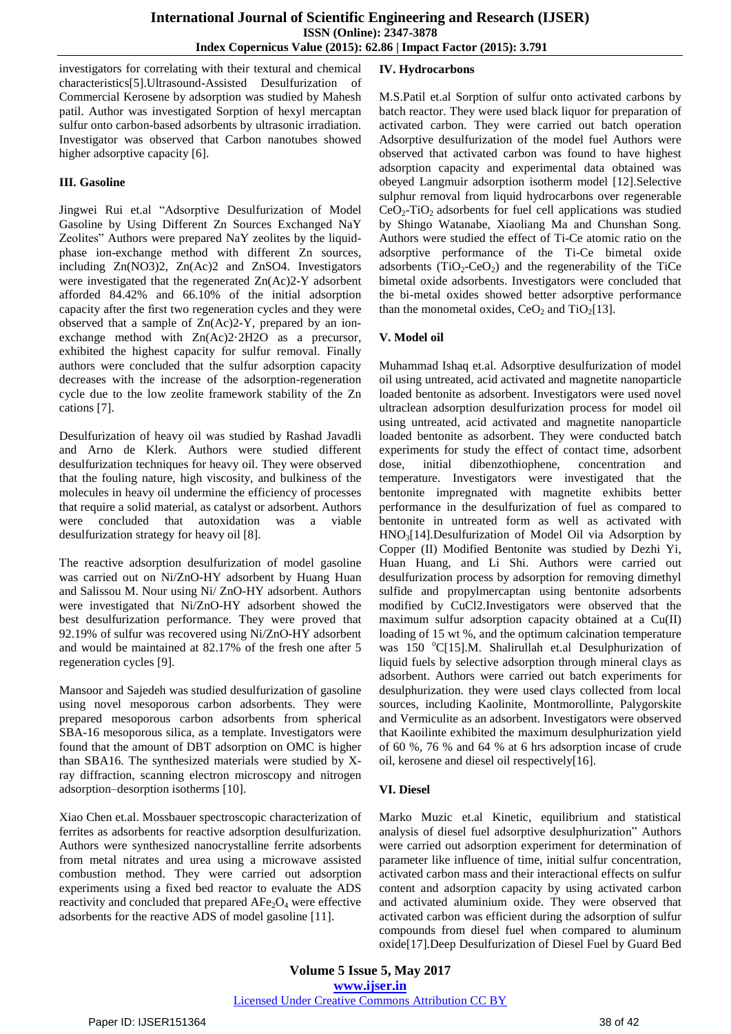investigators for correlating with their textural and chemical characteristics[5].Ultrasound-Assisted Desulfurization of Commercial Kerosene by adsorption was studied by Mahesh patil. Author was investigated Sorption of hexyl mercaptan sulfur onto carbon-based adsorbents by ultrasonic irradiation. Investigator was observed that Carbon nanotubes showed higher adsorptive capacity [6].

#### **III. Gasoline**

Jingwei Rui et.al "Adsorptive Desulfurization of Model Gasoline by Using Different Zn Sources Exchanged NaY Zeolites" Authors were prepared NaY zeolites by the liquidphase ion-exchange method with different Zn sources, including Zn(NO3)2, Zn(Ac)2 and ZnSO4. Investigators were investigated that the regenerated Zn(Ac)2-Y adsorbent afforded 84.42% and 66.10% of the initial adsorption capacity after the first two regeneration cycles and they were observed that a sample of Zn(Ac)2-Y, prepared by an ionexchange method with Zn(Ac)2·2H2O as a precursor, exhibited the highest capacity for sulfur removal. Finally authors were concluded that the sulfur adsorption capacity decreases with the increase of the adsorption-regeneration cycle due to the low zeolite framework stability of the Zn cations [7].

Desulfurization of heavy oil was studied by Rashad Javadli and Arno de Klerk. Authors were studied different desulfurization techniques for heavy oil. They were observed that the fouling nature, high viscosity, and bulkiness of the molecules in heavy oil undermine the efficiency of processes that require a solid material, as catalyst or adsorbent. Authors were concluded that autoxidation was a viable desulfurization strategy for heavy oil [8].

The reactive adsorption desulfurization of model gasoline was carried out on Ni/ZnO-HY adsorbent by Huang Huan and Salissou M. Nour using Ni/ ZnO-HY adsorbent. Authors were investigated that Ni/ZnO-HY adsorbent showed the best desulfurization performance. They were proved that 92.19% of sulfur was recovered using Ni/ZnO-HY adsorbent and would be maintained at 82.17% of the fresh one after 5 regeneration cycles [9].

Mansoor and Sajedeh was studied desulfurization of gasoline using novel mesoporous carbon adsorbents. They were prepared mesoporous carbon adsorbents from spherical SBA-16 mesoporous silica, as a template. Investigators were found that the amount of DBT adsorption on OMC is higher than SBA16. The synthesized materials were studied by Xray diffraction, scanning electron microscopy and nitrogen adsorption–desorption isotherms [10].

Xiao Chen et.al. Mossbauer spectroscopic characterization of ferrites as adsorbents for reactive adsorption desulfurization. Authors were synthesized nanocrystalline ferrite adsorbents from metal nitrates and urea using a microwave assisted combustion method. They were carried out adsorption experiments using a fixed bed reactor to evaluate the ADS reactivity and concluded that prepared  $AFe<sub>2</sub>O<sub>4</sub>$  were effective adsorbents for the reactive ADS of model gasoline [11].

# **IV. Hydrocarbons**

M.S.Patil et.al Sorption of sulfur onto activated carbons by batch reactor. They were used black liquor for preparation of activated carbon. They were carried out batch operation Adsorptive desulfurization of the model fuel Authors were observed that activated carbon was found to have highest adsorption capacity and experimental data obtained was obeyed Langmuir adsorption isotherm model [12].Selective sulphur removal from liquid hydrocarbons over regenerable  $CeO<sub>2</sub>-TiO<sub>2</sub>$  adsorbents for fuel cell applications was studied by Shingo Watanabe, Xiaoliang Ma and Chunshan Song. Authors were studied the effect of Ti-Ce atomic ratio on the adsorptive performance of the Ti-Ce bimetal oxide adsorbents  $(TiO_2-CeO_2)$  and the regenerability of the TiCe bimetal oxide adsorbents. Investigators were concluded that the bi-metal oxides showed better adsorptive performance than the monometal oxides,  $CeO<sub>2</sub>$  and TiO<sub>2</sub>[13].

# **V. Model oil**

Muhammad Ishaq et.al. Adsorptive desulfurization of model oil using untreated, acid activated and magnetite nanoparticle loaded bentonite as adsorbent. Investigators were used novel ultraclean adsorption desulfurization process for model oil using untreated, acid activated and magnetite nanoparticle loaded bentonite as adsorbent. They were conducted batch experiments for study the effect of contact time, adsorbent dose, initial dibenzothiophene, concentration and temperature. Investigators were investigated that the bentonite impregnated with magnetite exhibits better performance in the desulfurization of fuel as compared to bentonite in untreated form as well as activated with HNO3[14].Desulfurization of Model Oil via Adsorption by Copper (II) Modified Bentonite was studied by Dezhi Yi, Huan Huang, and Li Shi. Authors were carried out desulfurization process by adsorption for removing dimethyl sulfide and propylmercaptan using bentonite adsorbents modified by CuCl2.Investigators were observed that the maximum sulfur adsorption capacity obtained at a Cu(II) loading of 15 wt %, and the optimum calcination temperature was 150  $^{\circ}$ C[15].M. Shalirullah et.al Desulphurization of liquid fuels by selective adsorption through mineral clays as adsorbent. Authors were carried out batch experiments for desulphurization. they were used clays collected from local sources, including Kaolinite, Montmorollinte, Palygorskite and Vermiculite as an adsorbent. Investigators were observed that Kaoilinte exhibited the maximum desulphurization yield of 60 %, 76 % and 64 % at 6 hrs adsorption incase of crude oil, kerosene and diesel oil respectively[16].

# **VI. Diesel**

Marko Muzic et.al Kinetic, equilibrium and statistical analysis of diesel fuel adsorptive desulphurization" Authors were carried out adsorption experiment for determination of parameter like influence of time, initial sulfur concentration, activated carbon mass and their interactional effects on sulfur content and adsorption capacity by using activated carbon and activated aluminium oxide. They were observed that activated carbon was efficient during the adsorption of sulfur compounds from diesel fuel when compared to aluminum oxide[17].Deep Desulfurization of Diesel Fuel by Guard Bed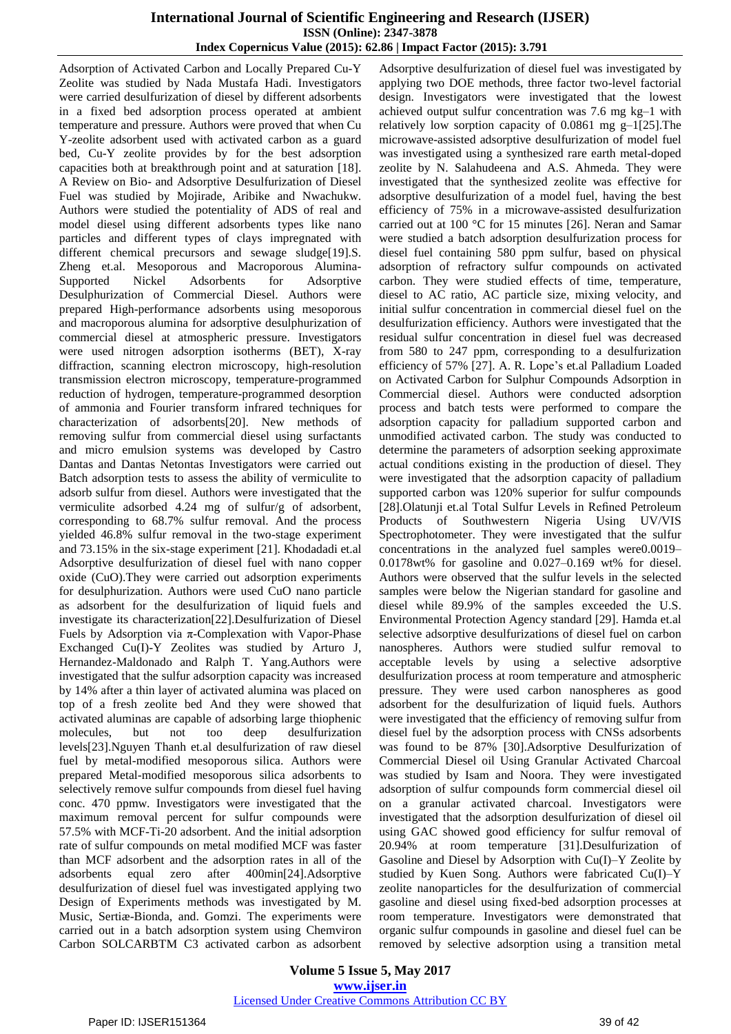## **International Journal of Scientific Engineering and Research (IJSER) ISSN (Online): 2347-3878 Index Copernicus Value (2015): 62.86 | Impact Factor (2015): 3.791**

Adsorption of Activated Carbon and Locally Prepared Cu-Y Zeolite was studied by Nada Mustafa Hadi. Investigators were carried desulfurization of diesel by different adsorbents in a fixed bed adsorption process operated at ambient temperature and pressure. Authors were proved that when Cu Y-zeolite adsorbent used with activated carbon as a guard bed, Cu-Y zeolite provides by for the best adsorption capacities both at breakthrough point and at saturation [18]. A Review on Bio- and Adsorptive Desulfurization of Diesel Fuel was studied by Mojirade, Aribike and Nwachukw. Authors were studied the potentiality of ADS of real and model diesel using different adsorbents types like nano particles and different types of clays impregnated with different chemical precursors and sewage sludge[19].S. Zheng et.al. Mesoporous and Macroporous Alumina-Supported Nickel Adsorbents for Adsorptive Desulphurization of Commercial Diesel. Authors were prepared High-performance adsorbents using mesoporous and macroporous alumina for adsorptive desulphurization of commercial diesel at atmospheric pressure. Investigators were used nitrogen adsorption isotherms (BET), X-ray diffraction, scanning electron microscopy, high-resolution transmission electron microscopy, temperature-programmed reduction of hydrogen, temperature-programmed desorption of ammonia and Fourier transform infrared techniques for characterization of adsorbents[20]. New methods of removing sulfur from commercial diesel using surfactants and micro emulsion systems was developed by Castro Dantas and Dantas Netontas Investigators were carried out Batch adsorption tests to assess the ability of vermiculite to adsorb sulfur from diesel. Authors were investigated that the vermiculite adsorbed 4.24 mg of sulfur/g of adsorbent, corresponding to 68.7% sulfur removal. And the process yielded 46.8% sulfur removal in the two-stage experiment and 73.15% in the six-stage experiment [21]. Khodadadi et.al Adsorptive desulfurization of diesel fuel with nano copper oxide (CuO).They were carried out adsorption experiments for desulphurization. Authors were used CuO nano particle as adsorbent for the desulfurization of liquid fuels and investigate its characterization[22].Desulfurization of Diesel Fuels by Adsorption via π-Complexation with Vapor-Phase Exchanged Cu(I)-Y Zeolites was studied by Arturo J, Hernandez-Maldonado and Ralph T. Yang.Authors were investigated that the sulfur adsorption capacity was increased by 14% after a thin layer of activated alumina was placed on top of a fresh zeolite bed And they were showed that activated aluminas are capable of adsorbing large thiophenic molecules, but not too deep desulfurization levels[23].Nguyen Thanh et.al desulfurization of raw diesel fuel by metal-modified mesoporous silica. Authors were prepared Metal-modified mesoporous silica adsorbents to selectively remove sulfur compounds from diesel fuel having conc. 470 ppmw. Investigators were investigated that the maximum removal percent for sulfur compounds were 57.5% with MCF-Ti-20 adsorbent. And the initial adsorption rate of sulfur compounds on metal modified MCF was faster than MCF adsorbent and the adsorption rates in all of the adsorbents equal zero after 400min[24].Adsorptive desulfurization of diesel fuel was investigated applying two Design of Experiments methods was investigated by M. Music, Sertiæ-Bionda, and. Gomzi. The experiments were carried out in a batch adsorption system using Chemviron Carbon SOLCARBTM C3 activated carbon as adsorbent

Adsorptive desulfurization of diesel fuel was investigated by applying two DOE methods, three factor two-level factorial design. Investigators were investigated that the lowest achieved output sulfur concentration was 7.6 mg kg–1 with relatively low sorption capacity of 0.0861 mg g–1[25].The microwave-assisted adsorptive desulfurization of model fuel was investigated using a synthesized rare earth metal-doped zeolite by N. Salahudeena and A.S. Ahmeda. They were investigated that the synthesized zeolite was effective for adsorptive desulfurization of a model fuel, having the best efficiency of 75% in a microwave-assisted desulfurization carried out at 100 °C for 15 minutes [26]. Neran and Samar were studied a batch adsorption desulfurization process for diesel fuel containing 580 ppm sulfur, based on physical adsorption of refractory sulfur compounds on activated carbon. They were studied effects of time, temperature, diesel to AC ratio, AC particle size, mixing velocity, and initial sulfur concentration in commercial diesel fuel on the desulfurization efficiency. Authors were investigated that the residual sulfur concentration in diesel fuel was decreased from 580 to 247 ppm, corresponding to a desulfurization efficiency of 57% [27]. A. R. Lope's et.al Palladium Loaded on Activated Carbon for Sulphur Compounds Adsorption in Commercial diesel. Authors were conducted adsorption process and batch tests were performed to compare the adsorption capacity for palladium supported carbon and unmodified activated carbon. The study was conducted to determine the parameters of adsorption seeking approximate actual conditions existing in the production of diesel. They were investigated that the adsorption capacity of palladium supported carbon was 120% superior for sulfur compounds [28].Olatunji et.al Total Sulfur Levels in Refined Petroleum Products of Southwestern Nigeria Using UV/VIS Spectrophotometer. They were investigated that the sulfur concentrations in the analyzed fuel samples were0.0019– 0.0178wt% for gasoline and 0.027–0.169 wt% for diesel. Authors were observed that the sulfur levels in the selected samples were below the Nigerian standard for gasoline and diesel while 89.9% of the samples exceeded the U.S. Environmental Protection Agency standard [29]. Hamda et.al selective adsorptive desulfurizations of diesel fuel on carbon nanospheres. Authors were studied sulfur removal to acceptable levels by using a selective adsorptive desulfurization process at room temperature and atmospheric pressure. They were used carbon nanospheres as good adsorbent for the desulfurization of liquid fuels. Authors were investigated that the efficiency of removing sulfur from diesel fuel by the adsorption process with CNSs adsorbents was found to be 87% [30].Adsorptive Desulfurization of Commercial Diesel oil Using Granular Activated Charcoal was studied by Isam and Noora. They were investigated adsorption of sulfur compounds form commercial diesel oil on a granular activated charcoal. Investigators were investigated that the adsorption desulfurization of diesel oil using GAC showed good efficiency for sulfur removal of 20.94% at room temperature [31].Desulfurization of Gasoline and Diesel by Adsorption with Cu(I)–Y Zeolite by studied by Kuen Song. Authors were fabricated Cu(I)–Y zeolite nanoparticles for the desulfurization of commercial gasoline and diesel using fixed-bed adsorption processes at room temperature. Investigators were demonstrated that organic sulfur compounds in gasoline and diesel fuel can be removed by selective adsorption using a transition metal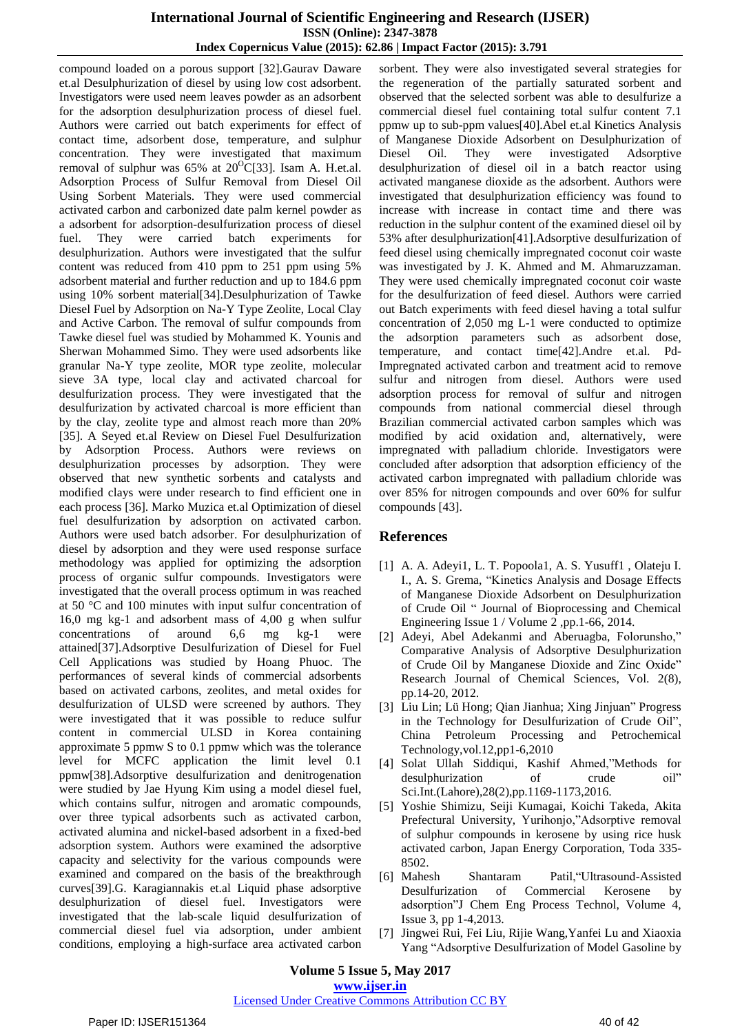# **International Journal of Scientific Engineering and Research (IJSER) ISSN (Online): 2347-3878 Index Copernicus Value (2015): 62.86 | Impact Factor (2015): 3.791**

compound loaded on a porous support [32].Gaurav Daware et.al Desulphurization of diesel by using low cost adsorbent. Investigators were used neem leaves powder as an adsorbent for the adsorption desulphurization process of diesel fuel. Authors were carried out batch experiments for effect of contact time, adsorbent dose, temperature, and sulphur concentration. They were investigated that maximum removal of sulphur was  $65\%$  at  $20^{\circ}C[33]$ . Isam A. H.et.al. Adsorption Process of Sulfur Removal from Diesel Oil Using Sorbent Materials. They were used commercial activated carbon and carbonized date palm kernel powder as a adsorbent for adsorption-desulfurization process of diesel fuel. They were carried batch experiments for desulphurization. Authors were investigated that the sulfur content was reduced from 410 ppm to 251 ppm using 5% adsorbent material and further reduction and up to 184.6 ppm using 10% sorbent material[34].Desulphurization of Tawke Diesel Fuel by Adsorption on Na-Y Type Zeolite, Local Clay and Active Carbon. The removal of sulfur compounds from Tawke diesel fuel was studied by Mohammed K. Younis and Sherwan Mohammed Simo. They were used adsorbents like granular Na-Y type zeolite, MOR type zeolite, molecular sieve 3A type, local clay and activated charcoal for desulfurization process. They were investigated that the desulfurization by activated charcoal is more efficient than by the clay, zeolite type and almost reach more than 20% [35]. A Seyed et.al Review on Diesel Fuel Desulfurization by Adsorption Process. Authors were reviews on desulphurization processes by adsorption. They were observed that new synthetic sorbents and catalysts and modified clays were under research to find efficient one in each process [36]. Marko Muzica et.al Optimization of diesel fuel desulfurization by adsorption on activated carbon. Authors were used batch adsorber. For desulphurization of diesel by adsorption and they were used response surface methodology was applied for optimizing the adsorption process of organic sulfur compounds. Investigators were investigated that the overall process optimum in was reached at 50 °C and 100 minutes with input sulfur concentration of 16,0 mg kg-1 and adsorbent mass of 4,00 g when sulfur concentrations of around 6,6 mg kg-1 were attained[37].Adsorptive Desulfurization of Diesel for Fuel Cell Applications was studied by Hoang Phuoc. The performances of several kinds of commercial adsorbents based on activated carbons, zeolites, and metal oxides for desulfurization of ULSD were screened by authors. They were investigated that it was possible to reduce sulfur content in commercial ULSD in Korea containing approximate 5 ppmw S to 0.1 ppmw which was the tolerance level for MCFC application the limit level 0.1 ppmw[38].Adsorptive desulfurization and denitrogenation were studied by Jae Hyung Kim using a model diesel fuel, which contains sulfur, nitrogen and aromatic compounds, over three typical adsorbents such as activated carbon, activated alumina and nickel-based adsorbent in a fixed-bed adsorption system. Authors were examined the adsorptive capacity and selectivity for the various compounds were examined and compared on the basis of the breakthrough curves[39].G. Karagiannakis et.al Liquid phase adsorptive desulphurization of diesel fuel. Investigators were investigated that the lab-scale liquid desulfurization of commercial diesel fuel via adsorption, under ambient conditions, employing a high-surface area activated carbon

sorbent. They were also investigated several strategies for the regeneration of the partially saturated sorbent and observed that the selected sorbent was able to desulfurize a commercial diesel fuel containing total sulfur content 7.1 ppmw up to sub-ppm values[40].Abel et.al Kinetics Analysis of Manganese Dioxide Adsorbent on Desulphurization of Diesel Oil. They were investigated Adsorptive desulphurization of diesel oil in a batch reactor using activated manganese dioxide as the adsorbent. Authors were investigated that desulphurization efficiency was found to increase with increase in contact time and there was reduction in the sulphur content of the examined diesel oil by 53% after desulphurization[41].Adsorptive desulfurization of feed diesel using chemically impregnated coconut coir waste was investigated by J. K. Ahmed and M. Ahmaruzzaman. They were used chemically impregnated coconut coir waste for the desulfurization of feed diesel. Authors were carried out Batch experiments with feed diesel having a total sulfur concentration of 2,050 mg L-1 were conducted to optimize the adsorption parameters such as adsorbent dose, temperature, and contact time[42].Andre et.al. Pd-Impregnated activated carbon and treatment acid to remove sulfur and nitrogen from diesel. Authors were used adsorption process for removal of sulfur and nitrogen compounds from national commercial diesel through Brazilian commercial activated carbon samples which was modified by acid oxidation and, alternatively, were impregnated with palladium chloride. Investigators were concluded after adsorption that adsorption efficiency of the activated carbon impregnated with palladium chloride was over 85% for nitrogen compounds and over 60% for sulfur compounds [43].

# **References**

- [1] A. A. Adeyi1, L. T. Popoola1, A. S. Yusuff1 , Olateju I. I., A. S. Grema, "Kinetics Analysis and Dosage Effects of Manganese Dioxide Adsorbent on Desulphurization of Crude Oil " Journal of Bioprocessing and Chemical Engineering Issue 1 / Volume 2 ,pp.1-66, 2014.
- [2] Adeyi, Abel Adekanmi and Aberuagba, Folorunsho," Comparative Analysis of Adsorptive Desulphurization of Crude Oil by Manganese Dioxide and Zinc Oxide" Research Journal of Chemical Sciences, Vol. 2(8), pp.14-20, 2012.
- [3] Liu Lin; Lü Hong; Qian Jianhua; Xing Jinjuan" Progress in the Technology for Desulfurization of Crude Oil", China Petroleum Processing and Petrochemical Technology,vol.12,pp1-6,2010
- [4] Solat Ullah Siddiqui, Kashif Ahmed,"Methods for desulphurization of crude oil" Sci.Int.(Lahore),28(2),pp.1169-1173,2016.
- [5] Yoshie Shimizu, Seiji Kumagai, Koichi Takeda, Akita Prefectural University, Yurihonjo,"Adsorptive removal of sulphur compounds in kerosene by using rice husk activated carbon, Japan Energy Corporation, Toda 335- 8502.
- [6] Mahesh Shantaram Patil,"Ultrasound-Assisted Desulfurization of Commercial Kerosene by adsorption"J Chem Eng Process Technol, Volume 4, Issue 3, pp 1-4,2013.
- [7] Jingwei Rui, Fei Liu, Rijie Wang,Yanfei Lu and Xiaoxia Yang "Adsorptive Desulfurization of Model Gasoline by

#### **Volume 5 Issue 5, May 2017 www.ijser.in**

#### Licensed Under Creative Commons Attribution CC BY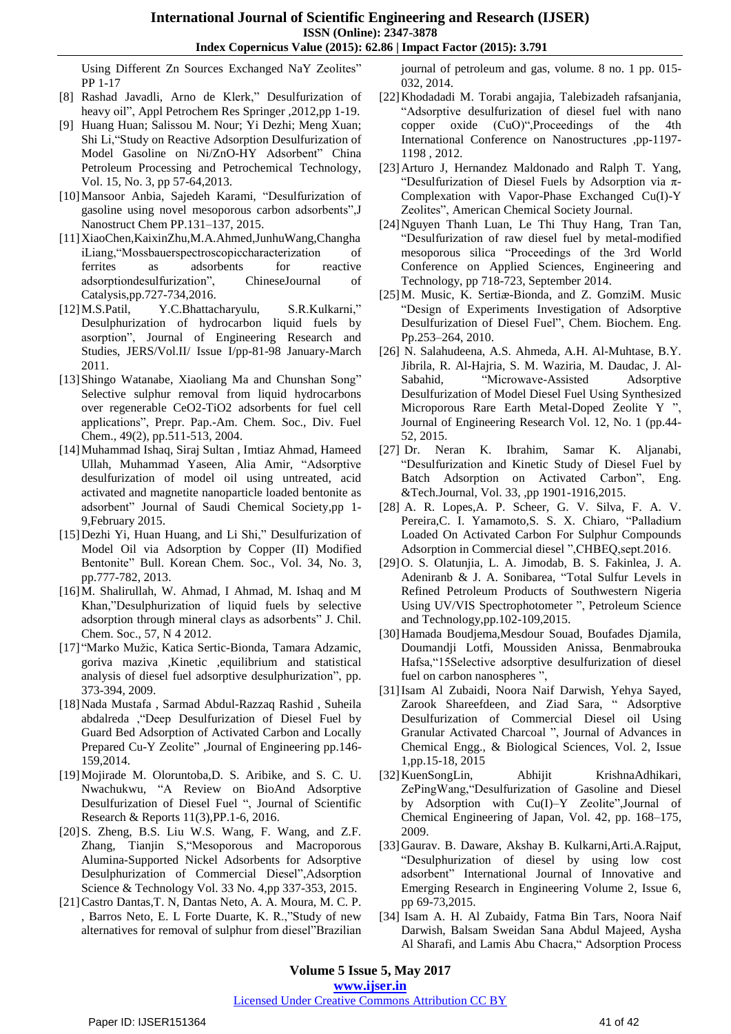Using Different Zn Sources Exchanged NaY Zeolites" PP 1-17

- [8] Rashad Javadli, Arno de Klerk," Desulfurization of heavy oil", Appl Petrochem Res Springer ,2012,pp 1-19.
- [9] Huang Huan; Salissou M. Nour; Yi Dezhi; Meng Xuan; Shi Li,"Study on Reactive Adsorption Desulfurization of Model Gasoline on Ni/ZnO-HY Adsorbent" China Petroleum Processing and Petrochemical Technology, Vol. 15, No. 3, pp 57-64,2013.
- [10]Mansoor Anbia, Sajedeh Karami, "Desulfurization of gasoline using novel mesoporous carbon adsorbents",J Nanostruct Chem PP.131–137, 2015.
- [11]XiaoChen,KaixinZhu,M.A.Ahmed,JunhuWang,Changha iLiang,"Mossbauerspectroscopiccharacterization of ferrites as adsorbents for reactive adsorptiondesulfurization", ChineseJournal of Catalysis,pp.727-734,2016.
- [12]M.S.Patil, Y.C.Bhattacharyulu, S.R.Kulkarni," Desulphurization of hydrocarbon liquid fuels by asorption", Journal of Engineering Research and Studies, JERS/Vol.II/ Issue I/pp-81-98 January-March 2011.
- [13]Shingo Watanabe, Xiaoliang Ma and Chunshan Song" Selective sulphur removal from liquid hydrocarbons over regenerable CeO2-TiO2 adsorbents for fuel cell applications", Prepr. Pap.-Am. Chem. Soc., Div. Fuel Chem., 49(2), pp.511-513, 2004.
- [14]Muhammad Ishaq, Siraj Sultan , Imtiaz Ahmad, Hameed Ullah, Muhammad Yaseen, Alia Amir, "Adsorptive desulfurization of model oil using untreated, acid activated and magnetite nanoparticle loaded bentonite as adsorbent" Journal of Saudi Chemical Society,pp 1- 9,February 2015.
- [15]Dezhi Yi, Huan Huang, and Li Shi," Desulfurization of Model Oil via Adsorption by Copper (II) Modified Bentonite" Bull. Korean Chem. Soc., Vol. 34, No. 3, pp.777-782, 2013.
- [16]M. Shalirullah, W. Ahmad, I Ahmad, M. Ishaq and M Khan,"Desulphurization of liquid fuels by selective adsorption through mineral clays as adsorbents" J. Chil. Chem. Soc., 57, N 4 2012.
- [17] "Marko Mužic, Katica Sertic-Bionda, Tamara Adzamic, goriva maziva ,Kinetic ,equilibrium and statistical analysis of diesel fuel adsorptive desulphurization", pp. 373-394, 2009.
- [18]Nada Mustafa , Sarmad Abdul-Razzaq Rashid , Suheila abdalreda ,"Deep Desulfurization of Diesel Fuel by Guard Bed Adsorption of Activated Carbon and Locally Prepared Cu-Y Zeolite" ,Journal of Engineering pp.146- 159,2014.
- [19] Mojirade M. Oloruntoba, D. S. Aribike, and S. C. U. Nwachukwu, "A Review on BioAnd Adsorptive Desulfurization of Diesel Fuel ", Journal of Scientific Research & Reports 11(3),PP.1-6, 2016.
- [20]S. Zheng, B.S. Liu W.S. Wang, F. Wang, and Z.F. Zhang, Tianjin S,"Mesoporous and Macroporous Alumina-Supported Nickel Adsorbents for Adsorptive Desulphurization of Commercial Diesel",Adsorption Science & Technology Vol. 33 No. 4,pp 337-353, 2015.
- [21]Castro Dantas,T. N, Dantas Neto, A. A. Moura, M. C. P. , Barros Neto, E. L Forte Duarte, K. R.,"Study of new alternatives for removal of sulphur from diesel"Brazilian

journal of petroleum and gas, volume. 8 no. 1 pp. 015- 032, 2014.

- [22]Khodadadi M. Torabi angajia, Talebizadeh rafsanjania, "Adsorptive desulfurization of diesel fuel with nano copper oxide (CuO)",Proceedings of the 4th International Conference on Nanostructures ,pp-1197- 1198 , 2012.
- [23]Arturo J, Hernandez Maldonado and Ralph T. Yang, "Desulfurization of Diesel Fuels by Adsorption via π-Complexation with Vapor-Phase Exchanged Cu(I)-Y Zeolites", American Chemical Society Journal.
- [24]Nguyen Thanh Luan, Le Thi Thuy Hang, Tran Tan, "Desulfurization of raw diesel fuel by metal-modified mesoporous silica "Proceedings of the 3rd World Conference on Applied Sciences, Engineering and Technology, pp 718-723, September 2014.
- [25]M. Music, K. Sertiæ-Bionda, and Z. GomziM. Music "Design of Experiments Investigation of Adsorptive Desulfurization of Diesel Fuel", Chem. Biochem. Eng. Pp.253–264, 2010.
- [26] N. Salahudeena, A.S. Ahmeda, A.H. Al-Muhtase, B.Y. Jibrila, R. Al-Hajria, S. M. Waziria, M. Daudac, J. Al-Sabahid, "Microwave-Assisted Adsorptive Desulfurization of Model Diesel Fuel Using Synthesized Microporous Rare Earth Metal-Doped Zeolite Y ", Journal of Engineering Research Vol. 12, No. 1 (pp.44- 52, 2015.
- [27] Dr. Neran K. Ibrahim, Samar K. Aljanabi, "Desulfurization and Kinetic Study of Diesel Fuel by Batch Adsorption on Activated Carbon", Eng. &Tech.Journal, Vol. 33, ,pp 1901-1916,2015.
- [28] A. R. Lopes,A. P. Scheer, G. V. Silva, F. A. V. Pereira,C. I. Yamamoto,S. S. X. Chiaro, "Palladium Loaded On Activated Carbon For Sulphur Compounds Adsorption in Commercial diesel ",CHBEQ,sept.2016.
- [29]O. S. Olatunjia, L. A. Jimodab, B. S. Fakinlea, J. A. Adeniranb & J. A. Sonibarea, "Total Sulfur Levels in Refined Petroleum Products of Southwestern Nigeria Using UV/VIS Spectrophotometer ", Petroleum Science and Technology,pp.102-109,2015.
- [30]Hamada Boudjema,Mesdour Souad, Boufades Djamila, Doumandji Lotfi, Moussiden Anissa, Benmabrouka Hafsa,"15Selective adsorptive desulfurization of diesel fuel on carbon nanospheres ",
- [31]Isam Al Zubaidi, Noora Naif Darwish, Yehya Sayed, Zarook Shareefdeen, and Ziad Sara, " Adsorptive Desulfurization of Commercial Diesel oil Using Granular Activated Charcoal ", Journal of Advances in Chemical Engg., & Biological Sciences, Vol. 2, Issue 1,pp.15-18, 2015
- [32] KuenSongLin, Abhijit KrishnaAdhikari, ZePingWang,"Desulfurization of Gasoline and Diesel by Adsorption with Cu(I)–Y Zeolite",Journal of Chemical Engineering of Japan, Vol. 42, pp. 168–175, 2009.
- [33]Gaurav. B. Daware, Akshay B. Kulkarni,Arti.A.Rajput, "Desulphurization of diesel by using low cost adsorbent" International Journal of Innovative and Emerging Research in Engineering Volume 2, Issue 6, pp 69-73,2015.
- [34] Isam A. H. Al Zubaidy, Fatma Bin Tars, Noora Naif Darwish, Balsam Sweidan Sana Abdul Majeed, Aysha Al Sharafi, and Lamis Abu Chacra," Adsorption Process